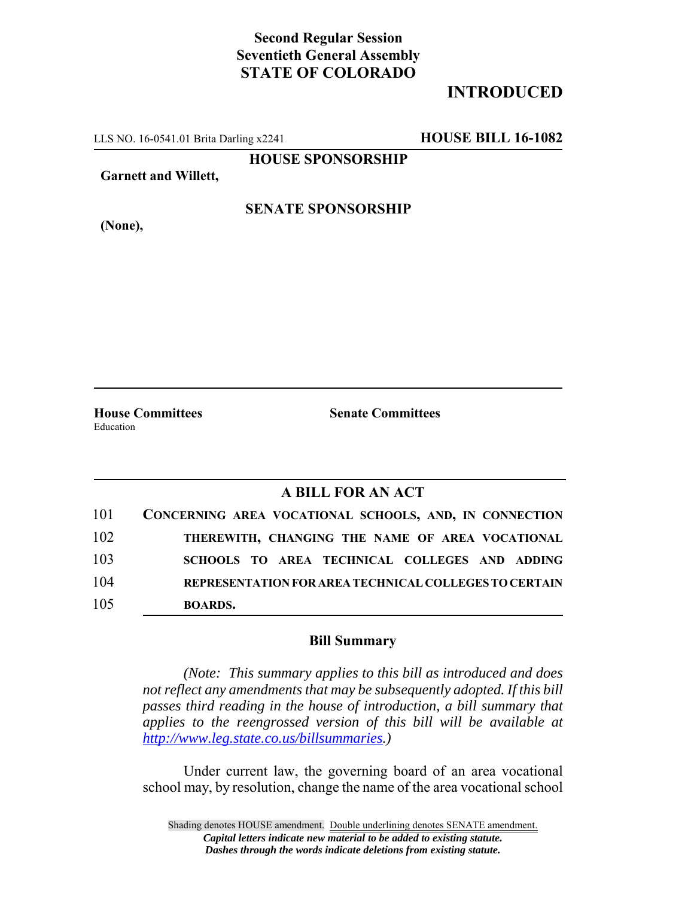### **Second Regular Session Seventieth General Assembly STATE OF COLORADO**

## **INTRODUCED**

LLS NO. 16-0541.01 Brita Darling x2241 **HOUSE BILL 16-1082**

**HOUSE SPONSORSHIP**

**Garnett and Willett,**

**(None),**

**SENATE SPONSORSHIP**

**House Committees Senate Committees** Education

#### **A BILL FOR AN ACT**

| 101 | CONCERNING AREA VOCATIONAL SCHOOLS, AND, IN CONNECTION |
|-----|--------------------------------------------------------|
| 102 | THEREWITH, CHANGING THE NAME OF AREA VOCATIONAL        |
| 103 | SCHOOLS TO AREA TECHNICAL COLLEGES AND ADDING          |
| 104 | REPRESENTATION FOR AREA TECHNICAL COLLEGES TO CERTAIN  |
| 105 | <b>BOARDS.</b>                                         |

#### **Bill Summary**

*(Note: This summary applies to this bill as introduced and does not reflect any amendments that may be subsequently adopted. If this bill passes third reading in the house of introduction, a bill summary that applies to the reengrossed version of this bill will be available at http://www.leg.state.co.us/billsummaries.)*

Under current law, the governing board of an area vocational school may, by resolution, change the name of the area vocational school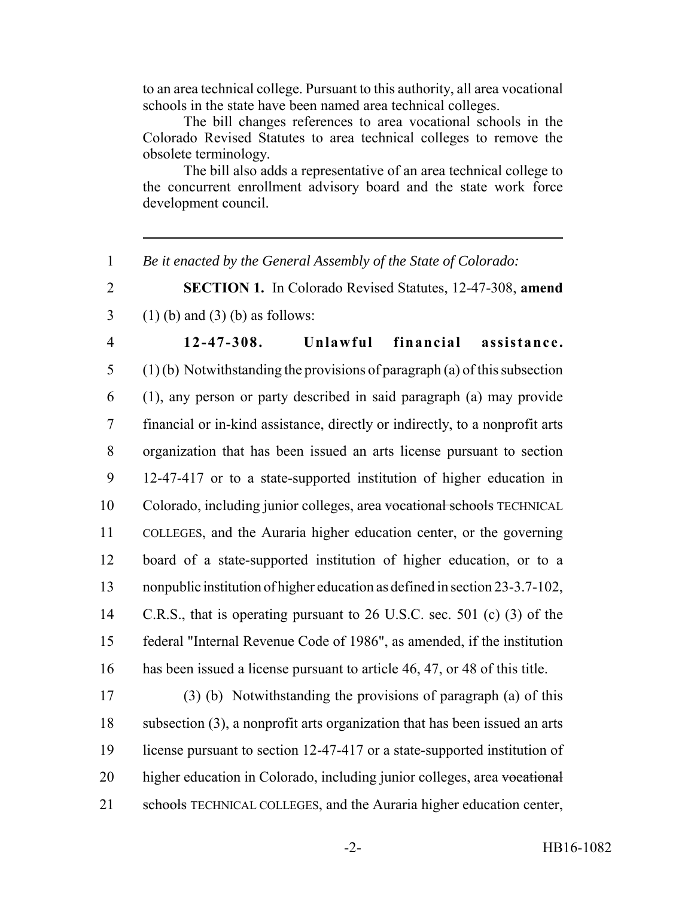to an area technical college. Pursuant to this authority, all area vocational schools in the state have been named area technical colleges.

The bill changes references to area vocational schools in the Colorado Revised Statutes to area technical colleges to remove the obsolete terminology.

The bill also adds a representative of an area technical college to the concurrent enrollment advisory board and the state work force development council.

1 *Be it enacted by the General Assembly of the State of Colorado:*

2 **SECTION 1.** In Colorado Revised Statutes, 12-47-308, **amend** 3 (1) (b) and (3) (b) as follows:

 **12-47-308. Unlawful financial assistance.** (1) (b) Notwithstanding the provisions of paragraph (a) of this subsection (1), any person or party described in said paragraph (a) may provide financial or in-kind assistance, directly or indirectly, to a nonprofit arts organization that has been issued an arts license pursuant to section 12-47-417 or to a state-supported institution of higher education in Colorado, including junior colleges, area vocational schools TECHNICAL COLLEGES, and the Auraria higher education center, or the governing board of a state-supported institution of higher education, or to a nonpublic institution of higher education as defined in section 23-3.7-102, C.R.S., that is operating pursuant to 26 U.S.C. sec. 501 (c) (3) of the federal "Internal Revenue Code of 1986", as amended, if the institution has been issued a license pursuant to article 46, 47, or 48 of this title.

17 (3) (b) Notwithstanding the provisions of paragraph (a) of this 18 subsection (3), a nonprofit arts organization that has been issued an arts 19 license pursuant to section 12-47-417 or a state-supported institution of 20 higher education in Colorado, including junior colleges, area vocational 21 schools TECHNICAL COLLEGES, and the Auraria higher education center,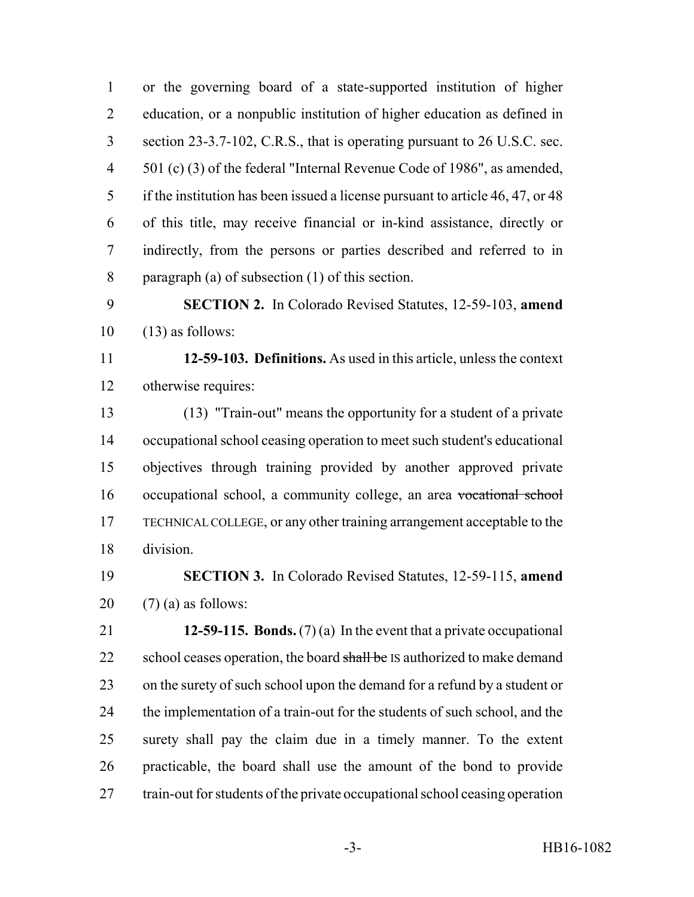or the governing board of a state-supported institution of higher education, or a nonpublic institution of higher education as defined in section 23-3.7-102, C.R.S., that is operating pursuant to 26 U.S.C. sec. 501 (c) (3) of the federal "Internal Revenue Code of 1986", as amended, if the institution has been issued a license pursuant to article 46, 47, or 48 of this title, may receive financial or in-kind assistance, directly or indirectly, from the persons or parties described and referred to in paragraph (a) of subsection (1) of this section.

 **SECTION 2.** In Colorado Revised Statutes, 12-59-103, **amend**  $10 \quad (13)$  as follows:

 **12-59-103. Definitions.** As used in this article, unless the context otherwise requires:

 (13) "Train-out" means the opportunity for a student of a private occupational school ceasing operation to meet such student's educational objectives through training provided by another approved private occupational school, a community college, an area vocational school TECHNICAL COLLEGE, or any other training arrangement acceptable to the division.

 **SECTION 3.** In Colorado Revised Statutes, 12-59-115, **amend** 20  $(7)$  (a) as follows:

 **12-59-115. Bonds.** (7) (a) In the event that a private occupational 22 school ceases operation, the board shall be IS authorized to make demand on the surety of such school upon the demand for a refund by a student or the implementation of a train-out for the students of such school, and the surety shall pay the claim due in a timely manner. To the extent practicable, the board shall use the amount of the bond to provide train-out for students of the private occupational school ceasing operation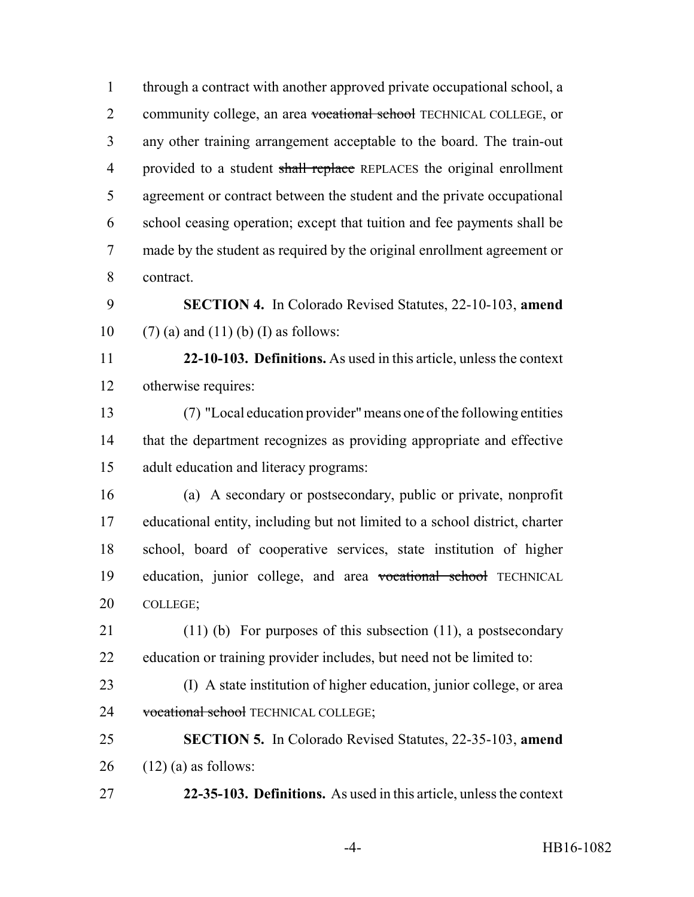through a contract with another approved private occupational school, a 2 community college, an area vocational school TECHNICAL COLLEGE, or any other training arrangement acceptable to the board. The train-out 4 provided to a student shall replace REPLACES the original enrollment agreement or contract between the student and the private occupational school ceasing operation; except that tuition and fee payments shall be made by the student as required by the original enrollment agreement or contract. **SECTION 4.** In Colorado Revised Statutes, 22-10-103, **amend** 10 (7) (a) and (11) (b) (I) as follows:

 **22-10-103. Definitions.** As used in this article, unless the context otherwise requires:

 (7) "Local education provider" means one of the following entities that the department recognizes as providing appropriate and effective adult education and literacy programs:

 (a) A secondary or postsecondary, public or private, nonprofit educational entity, including but not limited to a school district, charter school, board of cooperative services, state institution of higher education, junior college, and area vocational school TECHNICAL COLLEGE;

 (11) (b) For purposes of this subsection (11), a postsecondary education or training provider includes, but need not be limited to:

 (I) A state institution of higher education, junior college, or area 24 vocational school TECHNICAL COLLEGE;

 **SECTION 5.** In Colorado Revised Statutes, 22-35-103, **amend** 26  $(12)$  (a) as follows:

**22-35-103. Definitions.** As used in this article, unless the context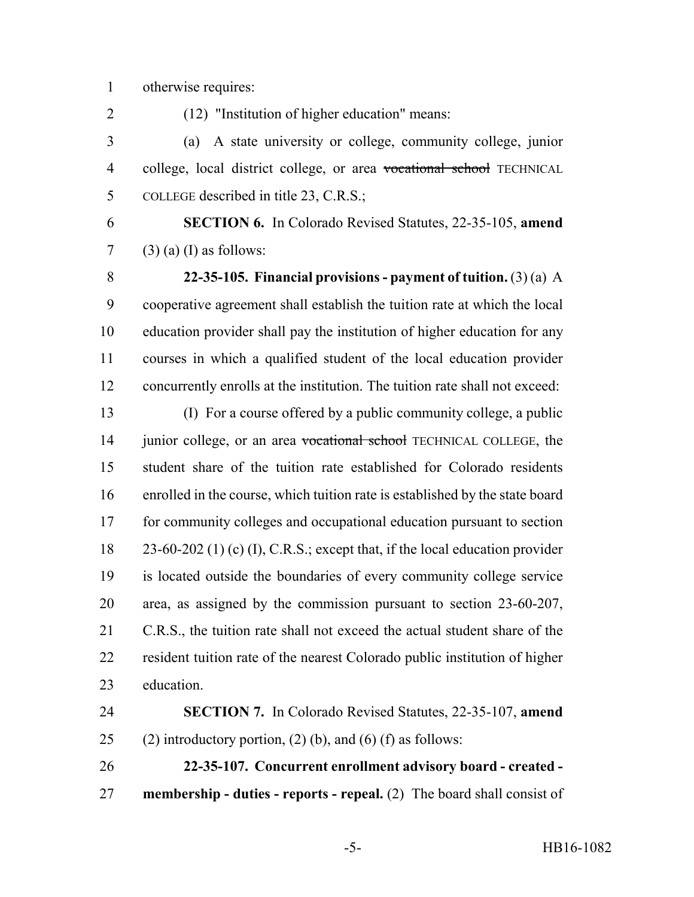otherwise requires:

(12) "Institution of higher education" means:

 (a) A state university or college, community college, junior 4 college, local district college, or area vocational school TECHNICAL COLLEGE described in title 23, C.R.S.;

 **SECTION 6.** In Colorado Revised Statutes, 22-35-105, **amend** (3) (a) (I) as follows:

 **22-35-105. Financial provisions - payment of tuition.** (3) (a) A cooperative agreement shall establish the tuition rate at which the local education provider shall pay the institution of higher education for any courses in which a qualified student of the local education provider concurrently enrolls at the institution. The tuition rate shall not exceed:

 (I) For a course offered by a public community college, a public 14 junior college, or an area vocational school TECHNICAL COLLEGE, the student share of the tuition rate established for Colorado residents enrolled in the course, which tuition rate is established by the state board for community colleges and occupational education pursuant to section 23-60-202 (1) (c) (I), C.R.S.; except that, if the local education provider is located outside the boundaries of every community college service area, as assigned by the commission pursuant to section 23-60-207, C.R.S., the tuition rate shall not exceed the actual student share of the resident tuition rate of the nearest Colorado public institution of higher education.

 **SECTION 7.** In Colorado Revised Statutes, 22-35-107, **amend** 25 (2) introductory portion, (2) (b), and (6) (f) as follows:

 **22-35-107. Concurrent enrollment advisory board - created - membership - duties - reports - repeal.** (2) The board shall consist of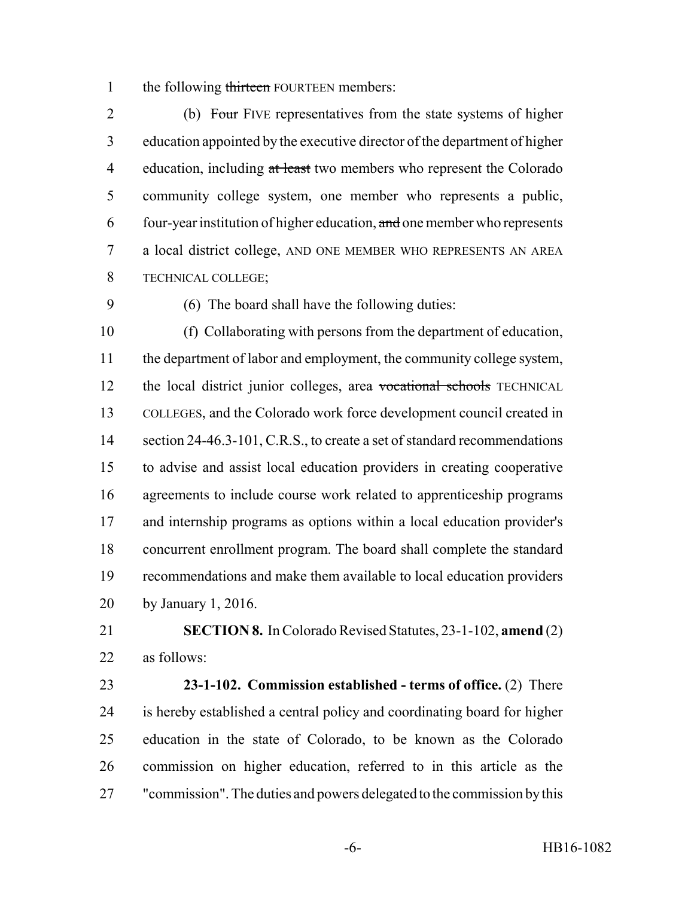1 the following thirteen FOURTEEN members:

2 (b) Four FIVE representatives from the state systems of higher education appointed by the executive director of the department of higher 4 education, including at least two members who represent the Colorado community college system, one member who represents a public, four-year institution of higher education, and one member who represents a local district college, AND ONE MEMBER WHO REPRESENTS AN AREA TECHNICAL COLLEGE;

(6) The board shall have the following duties:

 (f) Collaborating with persons from the department of education, the department of labor and employment, the community college system, 12 the local district junior colleges, area vocational schools TECHNICAL COLLEGES, and the Colorado work force development council created in 14 section 24-46.3-101, C.R.S., to create a set of standard recommendations to advise and assist local education providers in creating cooperative agreements to include course work related to apprenticeship programs and internship programs as options within a local education provider's concurrent enrollment program. The board shall complete the standard recommendations and make them available to local education providers by January 1, 2016.

 **SECTION 8.** In Colorado Revised Statutes, 23-1-102, **amend** (2) as follows:

 **23-1-102. Commission established - terms of office.** (2) There is hereby established a central policy and coordinating board for higher education in the state of Colorado, to be known as the Colorado commission on higher education, referred to in this article as the "commission". The duties and powers delegated to the commission by this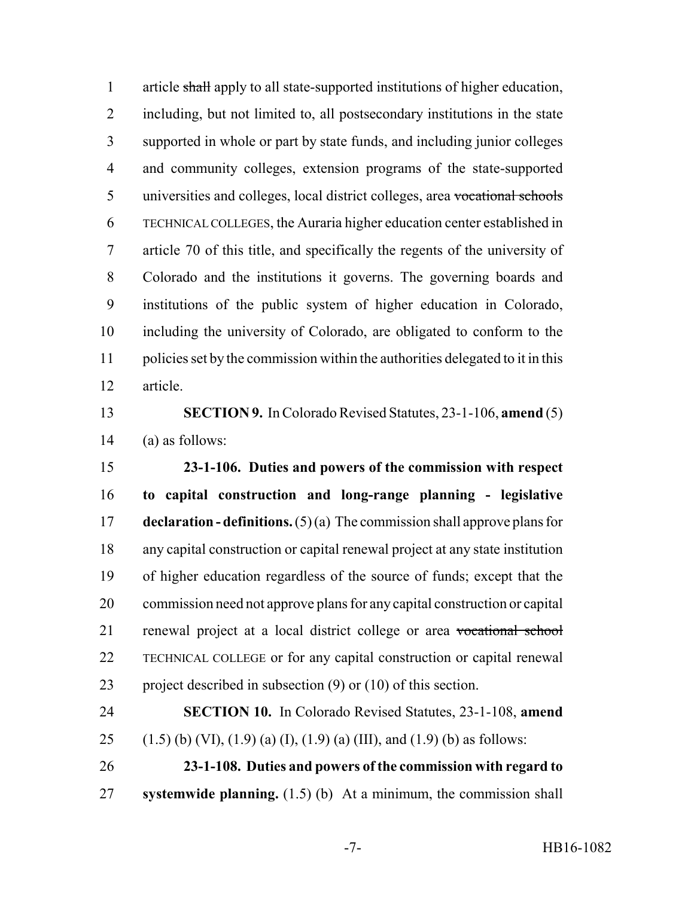article shall apply to all state-supported institutions of higher education, including, but not limited to, all postsecondary institutions in the state supported in whole or part by state funds, and including junior colleges and community colleges, extension programs of the state-supported universities and colleges, local district colleges, area vocational schools TECHNICAL COLLEGES, the Auraria higher education center established in article 70 of this title, and specifically the regents of the university of Colorado and the institutions it governs. The governing boards and institutions of the public system of higher education in Colorado, including the university of Colorado, are obligated to conform to the policies set by the commission within the authorities delegated to it in this article.

 **SECTION 9.** In Colorado Revised Statutes, 23-1-106, **amend** (5) (a) as follows:

 **23-1-106. Duties and powers of the commission with respect to capital construction and long-range planning - legislative declaration - definitions.** (5) (a) The commission shall approve plans for any capital construction or capital renewal project at any state institution of higher education regardless of the source of funds; except that the commission need not approve plans for any capital construction or capital renewal project at a local district college or area vocational school TECHNICAL COLLEGE or for any capital construction or capital renewal project described in subsection (9) or (10) of this section.

 **SECTION 10.** In Colorado Revised Statutes, 23-1-108, **amend** 25 (1.5) (b) (VI), (1.9) (a) (I), (1.9) (a) (III), and (1.9) (b) as follows:

 **23-1-108. Duties and powers of the commission with regard to systemwide planning.** (1.5) (b) At a minimum, the commission shall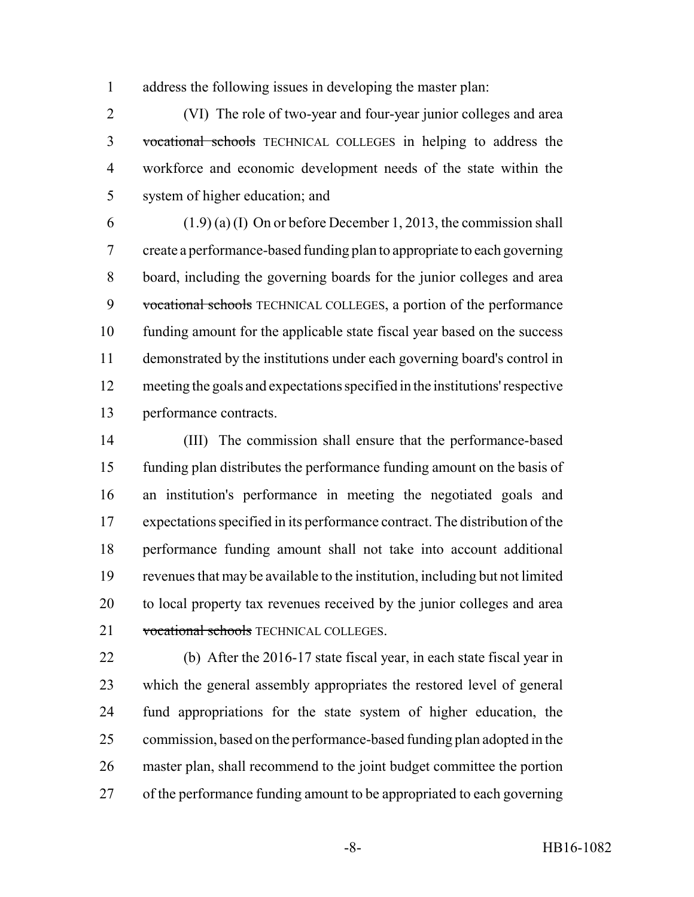address the following issues in developing the master plan:

 (VI) The role of two-year and four-year junior colleges and area vocational schools TECHNICAL COLLEGES in helping to address the workforce and economic development needs of the state within the system of higher education; and

6 (1.9) (a) (I) On or before December 1, 2013, the commission shall create a performance-based funding plan to appropriate to each governing board, including the governing boards for the junior colleges and area 9 vocational schools TECHNICAL COLLEGES, a portion of the performance funding amount for the applicable state fiscal year based on the success demonstrated by the institutions under each governing board's control in meeting the goals and expectations specified in the institutions' respective performance contracts.

 (III) The commission shall ensure that the performance-based funding plan distributes the performance funding amount on the basis of an institution's performance in meeting the negotiated goals and expectations specified in its performance contract. The distribution of the performance funding amount shall not take into account additional revenues that may be available to the institution, including but not limited to local property tax revenues received by the junior colleges and area 21 vocational schools TECHNICAL COLLEGES.

 (b) After the 2016-17 state fiscal year, in each state fiscal year in which the general assembly appropriates the restored level of general fund appropriations for the state system of higher education, the commission, based on the performance-based funding plan adopted in the master plan, shall recommend to the joint budget committee the portion of the performance funding amount to be appropriated to each governing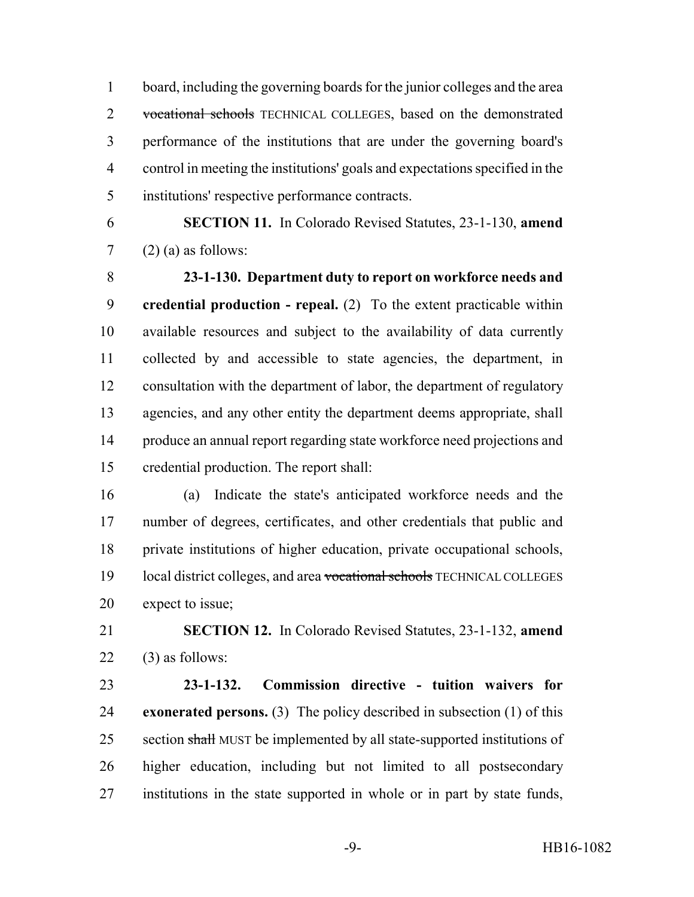board, including the governing boards for the junior colleges and the area 2 vocational schools TECHNICAL COLLEGES, based on the demonstrated performance of the institutions that are under the governing board's control in meeting the institutions' goals and expectations specified in the institutions' respective performance contracts.

 **SECTION 11.** In Colorado Revised Statutes, 23-1-130, **amend**  $7 \quad (2)$  (a) as follows:

 **23-1-130. Department duty to report on workforce needs and credential production - repeal.** (2) To the extent practicable within available resources and subject to the availability of data currently collected by and accessible to state agencies, the department, in consultation with the department of labor, the department of regulatory agencies, and any other entity the department deems appropriate, shall produce an annual report regarding state workforce need projections and credential production. The report shall:

 (a) Indicate the state's anticipated workforce needs and the number of degrees, certificates, and other credentials that public and private institutions of higher education, private occupational schools, 19 local district colleges, and area vocational schools TECHNICAL COLLEGES expect to issue;

 **SECTION 12.** In Colorado Revised Statutes, 23-1-132, **amend** (3) as follows:

 **23-1-132. Commission directive - tuition waivers for exonerated persons.** (3) The policy described in subsection (1) of this 25 section shall MUST be implemented by all state-supported institutions of higher education, including but not limited to all postsecondary institutions in the state supported in whole or in part by state funds,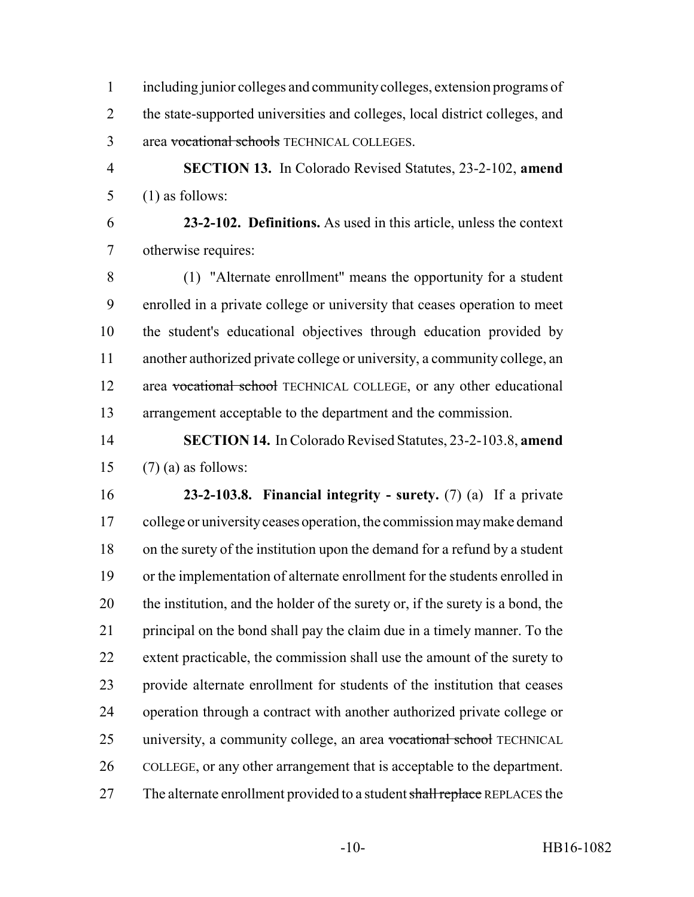including junior colleges and community colleges, extension programs of the state-supported universities and colleges, local district colleges, and area vocational schools TECHNICAL COLLEGES.

 **SECTION 13.** In Colorado Revised Statutes, 23-2-102, **amend** (1) as follows:

 **23-2-102. Definitions.** As used in this article, unless the context otherwise requires:

 (1) "Alternate enrollment" means the opportunity for a student enrolled in a private college or university that ceases operation to meet the student's educational objectives through education provided by another authorized private college or university, a community college, an 12 area vocational school TECHNICAL COLLEGE, or any other educational arrangement acceptable to the department and the commission.

 **SECTION 14.** In Colorado Revised Statutes, 23-2-103.8, **amend** 15  $(7)$  (a) as follows:

 **23-2-103.8. Financial integrity - surety.** (7) (a) If a private 17 college or university ceases operation, the commission may make demand on the surety of the institution upon the demand for a refund by a student or the implementation of alternate enrollment for the students enrolled in the institution, and the holder of the surety or, if the surety is a bond, the principal on the bond shall pay the claim due in a timely manner. To the extent practicable, the commission shall use the amount of the surety to provide alternate enrollment for students of the institution that ceases operation through a contract with another authorized private college or 25 university, a community college, an area vocational school TECHNICAL COLLEGE, or any other arrangement that is acceptable to the department. 27 The alternate enrollment provided to a student shall replace REPLACES the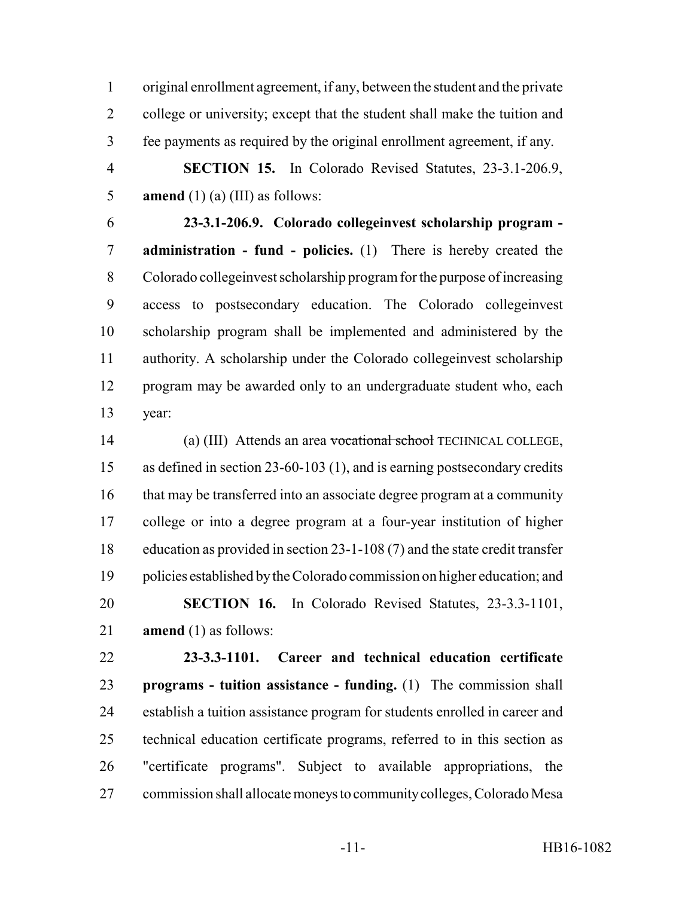original enrollment agreement, if any, between the student and the private college or university; except that the student shall make the tuition and fee payments as required by the original enrollment agreement, if any.

 **SECTION 15.** In Colorado Revised Statutes, 23-3.1-206.9, **amend** (1) (a) (III) as follows:

 **23-3.1-206.9. Colorado collegeinvest scholarship program - administration - fund - policies.** (1) There is hereby created the Colorado collegeinvest scholarship program for the purpose of increasing access to postsecondary education. The Colorado collegeinvest scholarship program shall be implemented and administered by the authority. A scholarship under the Colorado collegeinvest scholarship program may be awarded only to an undergraduate student who, each year:

 (a) (III) Attends an area vocational school TECHNICAL COLLEGE, as defined in section 23-60-103 (1), and is earning postsecondary credits that may be transferred into an associate degree program at a community college or into a degree program at a four-year institution of higher education as provided in section 23-1-108 (7) and the state credit transfer policies established by the Colorado commission on higher education; and **SECTION 16.** In Colorado Revised Statutes, 23-3.3-1101, **amend** (1) as follows:

 **23-3.3-1101. Career and technical education certificate programs - tuition assistance - funding.** (1) The commission shall establish a tuition assistance program for students enrolled in career and technical education certificate programs, referred to in this section as "certificate programs". Subject to available appropriations, the commission shall allocate moneys to community colleges, Colorado Mesa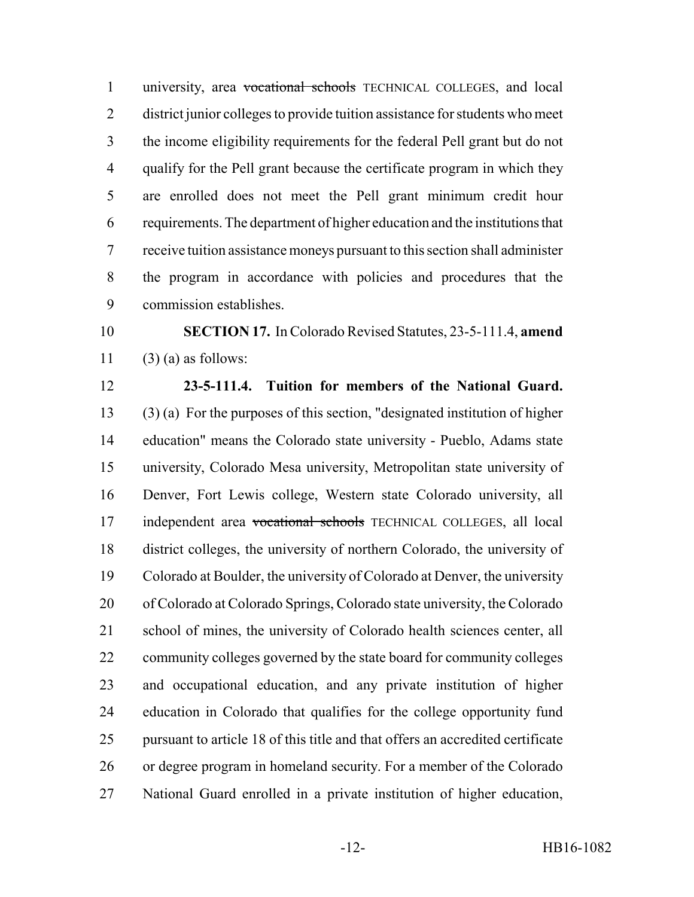university, area vocational schools TECHNICAL COLLEGES, and local district junior colleges to provide tuition assistance for students who meet the income eligibility requirements for the federal Pell grant but do not qualify for the Pell grant because the certificate program in which they are enrolled does not meet the Pell grant minimum credit hour requirements. The department of higher education and the institutions that receive tuition assistance moneys pursuant to this section shall administer the program in accordance with policies and procedures that the commission establishes.

 **SECTION 17.** In Colorado Revised Statutes, 23-5-111.4, **amend** 11  $(3)$  (a) as follows:

 **23-5-111.4. Tuition for members of the National Guard.** (3) (a) For the purposes of this section, "designated institution of higher

 education" means the Colorado state university - Pueblo, Adams state university, Colorado Mesa university, Metropolitan state university of Denver, Fort Lewis college, Western state Colorado university, all 17 independent area vocational schools TECHNICAL COLLEGES, all local district colleges, the university of northern Colorado, the university of Colorado at Boulder, the university of Colorado at Denver, the university of Colorado at Colorado Springs, Colorado state university, the Colorado school of mines, the university of Colorado health sciences center, all community colleges governed by the state board for community colleges and occupational education, and any private institution of higher education in Colorado that qualifies for the college opportunity fund pursuant to article 18 of this title and that offers an accredited certificate or degree program in homeland security. For a member of the Colorado National Guard enrolled in a private institution of higher education,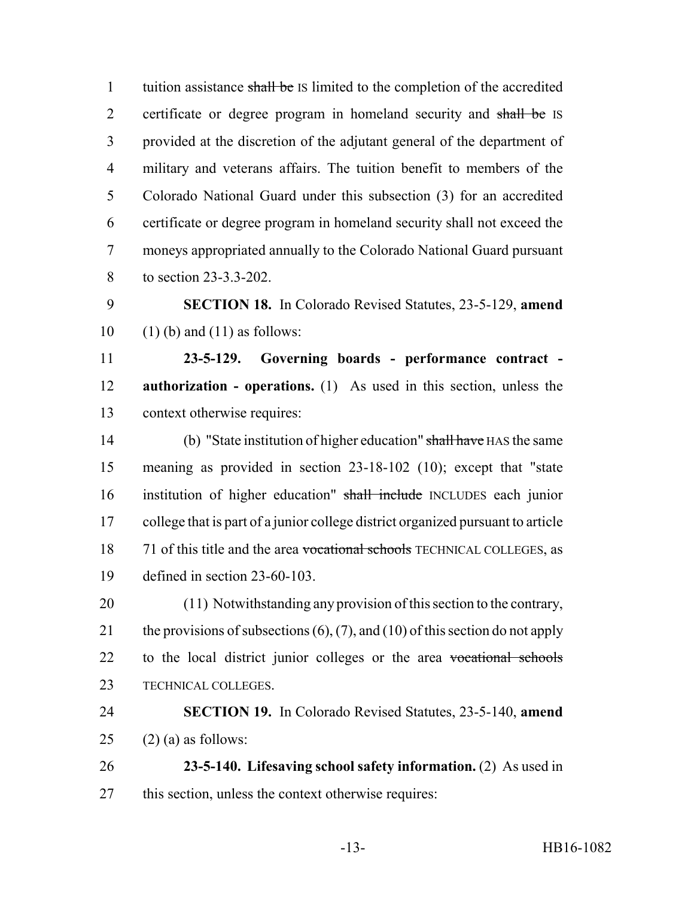1 tuition assistance shall be IS limited to the completion of the accredited 2 certificate or degree program in homeland security and shall be IS provided at the discretion of the adjutant general of the department of military and veterans affairs. The tuition benefit to members of the Colorado National Guard under this subsection (3) for an accredited certificate or degree program in homeland security shall not exceed the moneys appropriated annually to the Colorado National Guard pursuant to section 23-3.3-202.

 **SECTION 18.** In Colorado Revised Statutes, 23-5-129, **amend** 10 (1) (b) and (11) as follows:

 **23-5-129. Governing boards - performance contract - authorization - operations.** (1) As used in this section, unless the context otherwise requires:

 (b) "State institution of higher education" shall have HAS the same meaning as provided in section 23-18-102 (10); except that "state institution of higher education" shall include INCLUDES each junior college that is part of a junior college district organized pursuant to article 18 71 of this title and the area vocational schools TECHNICAL COLLEGES, as defined in section 23-60-103.

 (11) Notwithstanding any provision of this section to the contrary, 21 the provisions of subsections  $(6)$ ,  $(7)$ , and  $(10)$  of this section do not apply 22 to the local district junior colleges or the area vocational schools TECHNICAL COLLEGES.

 **SECTION 19.** In Colorado Revised Statutes, 23-5-140, **amend** 25 (2) (a) as follows:

 **23-5-140. Lifesaving school safety information.** (2) As used in this section, unless the context otherwise requires: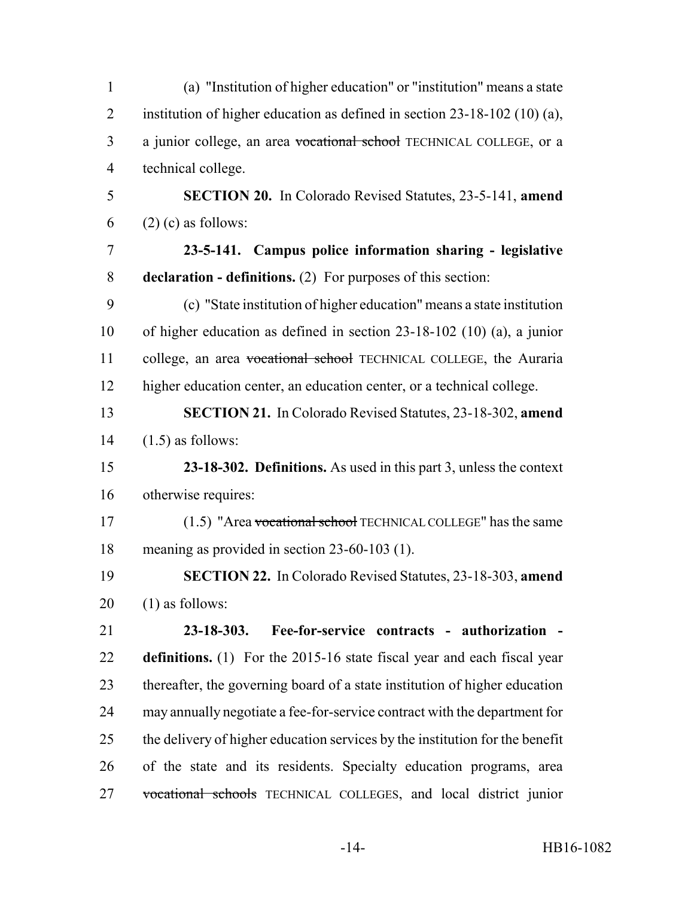| $\mathbf{1}$   | (a) "Institution of higher education" or "institution" means a state         |
|----------------|------------------------------------------------------------------------------|
| $\overline{2}$ | institution of higher education as defined in section $23-18-102$ (10) (a),  |
| 3              | a junior college, an area vocational school TECHNICAL COLLEGE, or a          |
| $\overline{4}$ | technical college.                                                           |
| 5              | <b>SECTION 20.</b> In Colorado Revised Statutes, 23-5-141, amend             |
| 6              | $(2)$ (c) as follows:                                                        |
| $\overline{7}$ | 23-5-141. Campus police information sharing - legislative                    |
| 8              | <b>declaration - definitions.</b> (2) For purposes of this section:          |
| 9              | (c) "State institution of higher education" means a state institution        |
| 10             | of higher education as defined in section $23-18-102$ (10) (a), a junior     |
| 11             | college, an area vocational school TECHNICAL COLLEGE, the Auraria            |
| 12             | higher education center, an education center, or a technical college.        |
| 13             | <b>SECTION 21.</b> In Colorado Revised Statutes, 23-18-302, amend            |
| 14             | $(1.5)$ as follows:                                                          |
| 15             | 23-18-302. Definitions. As used in this part 3, unless the context           |
| 16             | otherwise requires:                                                          |
| 17             | (1.5) "Area vocational school TECHNICAL COLLEGE" has the same                |
| 18             | meaning as provided in section 23-60-103 (1).                                |
| 19             | <b>SECTION 22.</b> In Colorado Revised Statutes, 23-18-303, amend            |
| 20             | $(1)$ as follows:                                                            |
| 21             | $23 - 18 - 303.$<br>Fee-for-service contracts - authorization -              |
| 22             | definitions. (1) For the 2015-16 state fiscal year and each fiscal year      |
| 23             | thereafter, the governing board of a state institution of higher education   |
| 24             | may annually negotiate a fee-for-service contract with the department for    |
| 25             | the delivery of higher education services by the institution for the benefit |
| 26             | of the state and its residents. Specialty education programs, area           |
| 27             | vocational schools TECHNICAL COLLEGES, and local district junior             |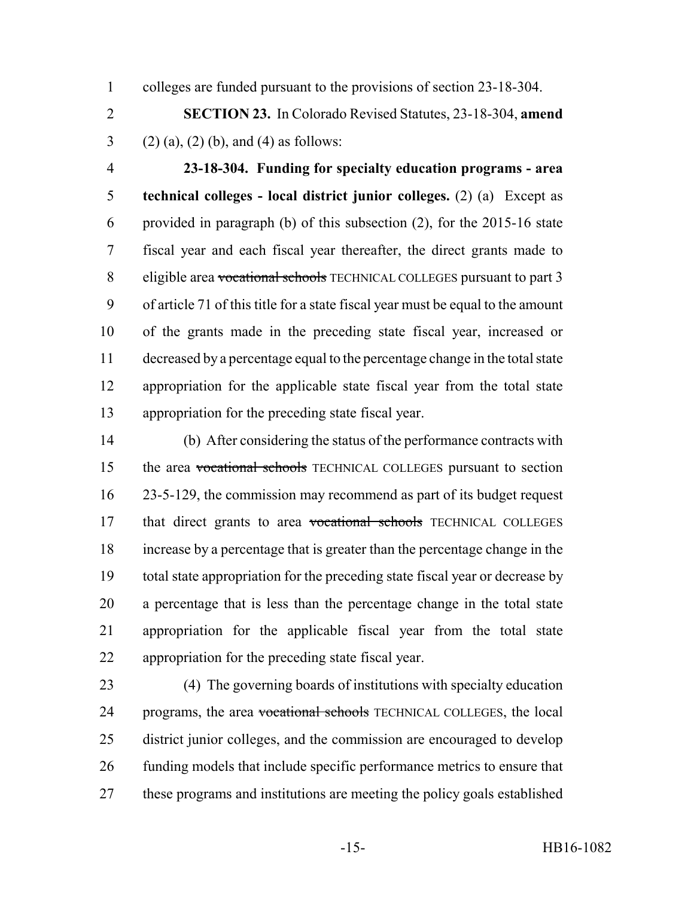colleges are funded pursuant to the provisions of section 23-18-304.

 **SECTION 23.** In Colorado Revised Statutes, 23-18-304, **amend** 3 (2) (a), (2) (b), and (4) as follows:

 **23-18-304. Funding for specialty education programs - area technical colleges - local district junior colleges.** (2) (a) Except as provided in paragraph (b) of this subsection (2), for the 2015-16 state fiscal year and each fiscal year thereafter, the direct grants made to 8 eligible area vocational schools TECHNICAL COLLEGES pursuant to part 3 of article 71 of this title for a state fiscal year must be equal to the amount of the grants made in the preceding state fiscal year, increased or decreased by a percentage equal to the percentage change in the total state appropriation for the applicable state fiscal year from the total state appropriation for the preceding state fiscal year.

 (b) After considering the status of the performance contracts with the area vocational schools TECHNICAL COLLEGES pursuant to section 23-5-129, the commission may recommend as part of its budget request 17 that direct grants to area vocational schools TECHNICAL COLLEGES increase by a percentage that is greater than the percentage change in the total state appropriation for the preceding state fiscal year or decrease by a percentage that is less than the percentage change in the total state appropriation for the applicable fiscal year from the total state appropriation for the preceding state fiscal year.

 (4) The governing boards of institutions with specialty education 24 programs, the area vocational schools TECHNICAL COLLEGES, the local district junior colleges, and the commission are encouraged to develop funding models that include specific performance metrics to ensure that these programs and institutions are meeting the policy goals established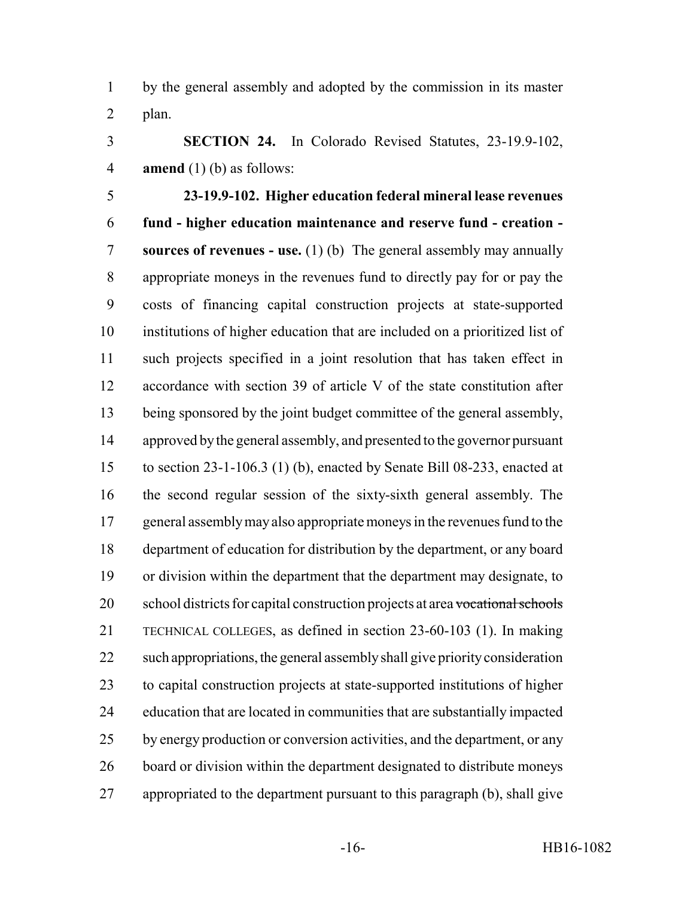by the general assembly and adopted by the commission in its master plan.

 **SECTION 24.** In Colorado Revised Statutes, 23-19.9-102, **amend** (1) (b) as follows:

 **23-19.9-102. Higher education federal mineral lease revenues fund - higher education maintenance and reserve fund - creation - sources of revenues - use.** (1) (b) The general assembly may annually appropriate moneys in the revenues fund to directly pay for or pay the costs of financing capital construction projects at state-supported institutions of higher education that are included on a prioritized list of such projects specified in a joint resolution that has taken effect in accordance with section 39 of article V of the state constitution after being sponsored by the joint budget committee of the general assembly, approved by the general assembly, and presented to the governor pursuant to section 23-1-106.3 (1) (b), enacted by Senate Bill 08-233, enacted at the second regular session of the sixty-sixth general assembly. The 17 general assembly may also appropriate moneys in the revenues fund to the department of education for distribution by the department, or any board or division within the department that the department may designate, to 20 school districts for capital construction projects at area vocational schools TECHNICAL COLLEGES, as defined in section 23-60-103 (1). In making such appropriations, the general assembly shall give priority consideration to capital construction projects at state-supported institutions of higher education that are located in communities that are substantially impacted 25 by energy production or conversion activities, and the department, or any board or division within the department designated to distribute moneys appropriated to the department pursuant to this paragraph (b), shall give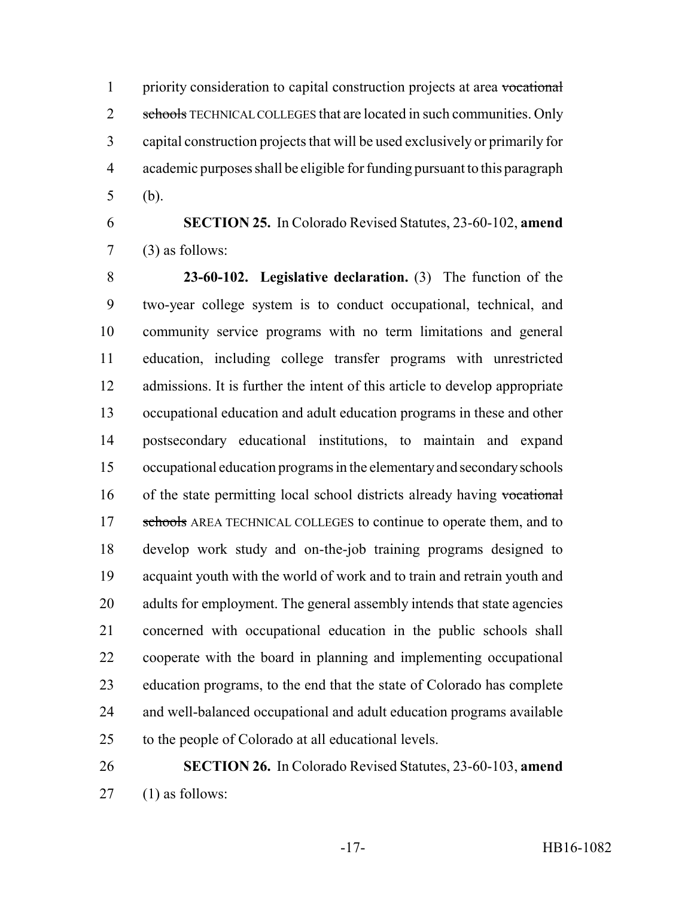priority consideration to capital construction projects at area vocational 2 schools TECHNICAL COLLEGES that are located in such communities. Only capital construction projects that will be used exclusively or primarily for academic purposes shall be eligible for funding pursuant to this paragraph (b).

 **SECTION 25.** In Colorado Revised Statutes, 23-60-102, **amend** (3) as follows:

 **23-60-102. Legislative declaration.** (3) The function of the two-year college system is to conduct occupational, technical, and community service programs with no term limitations and general education, including college transfer programs with unrestricted admissions. It is further the intent of this article to develop appropriate occupational education and adult education programs in these and other postsecondary educational institutions, to maintain and expand occupational education programs in the elementary and secondary schools 16 of the state permitting local school districts already having vocational 17 schools AREA TECHNICAL COLLEGES to continue to operate them, and to develop work study and on-the-job training programs designed to acquaint youth with the world of work and to train and retrain youth and 20 adults for employment. The general assembly intends that state agencies concerned with occupational education in the public schools shall cooperate with the board in planning and implementing occupational education programs, to the end that the state of Colorado has complete and well-balanced occupational and adult education programs available to the people of Colorado at all educational levels.

# **SECTION 26.** In Colorado Revised Statutes, 23-60-103, **amend** (1) as follows: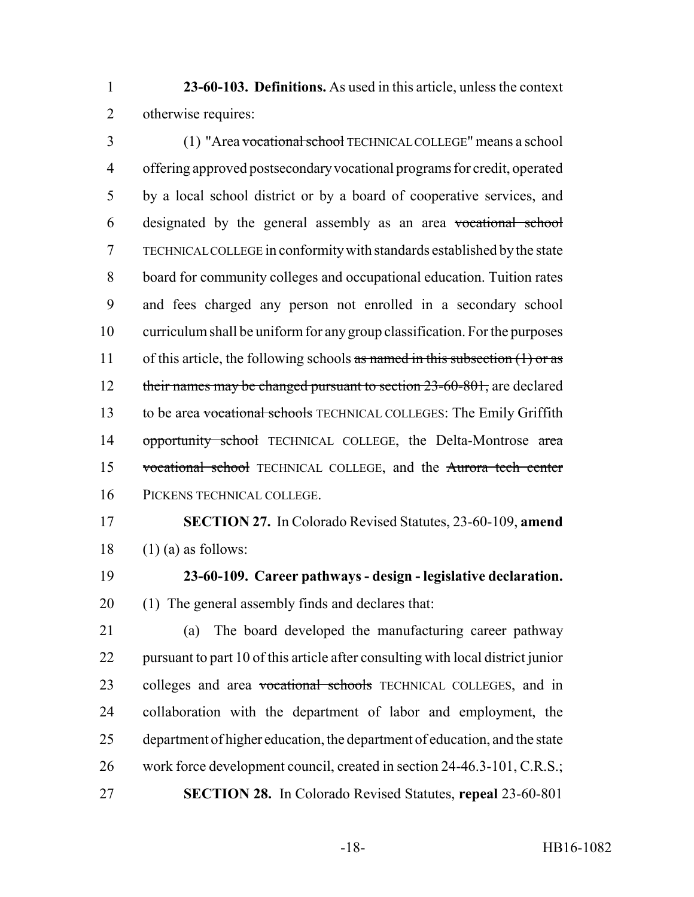**23-60-103. Definitions.** As used in this article, unless the context otherwise requires:

 (1) "Area vocational school TECHNICAL COLLEGE" means a school offering approved postsecondary vocational programs for credit, operated by a local school district or by a board of cooperative services, and designated by the general assembly as an area vocational school TECHNICAL COLLEGE in conformity with standards established by the state board for community colleges and occupational education. Tuition rates and fees charged any person not enrolled in a secondary school curriculum shall be uniform for any group classification. For the purposes 11 of this article, the following schools as named in this subsection (1) or as 12 their names may be changed pursuant to section 23-60-801, are declared 13 to be area vocational schools TECHNICAL COLLEGES: The Emily Griffith 14 opportunity school TECHNICAL COLLEGE, the Delta-Montrose area vocational school TECHNICAL COLLEGE, and the Aurora tech center PICKENS TECHNICAL COLLEGE.

 **SECTION 27.** In Colorado Revised Statutes, 23-60-109, **amend** 18  $(1)$  (a) as follows:

 **23-60-109. Career pathways - design - legislative declaration.** (1) The general assembly finds and declares that:

 (a) The board developed the manufacturing career pathway pursuant to part 10 of this article after consulting with local district junior 23 colleges and area vocational schools TECHNICAL COLLEGES, and in collaboration with the department of labor and employment, the department of higher education, the department of education, and the state work force development council, created in section 24-46.3-101, C.R.S.; **SECTION 28.** In Colorado Revised Statutes, **repeal** 23-60-801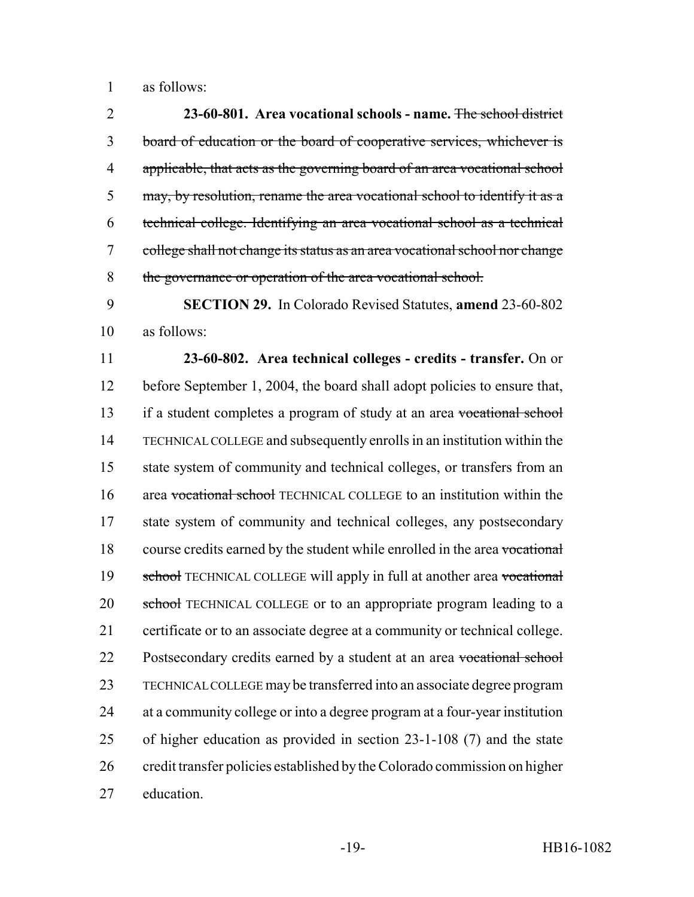as follows:

 **23-60-801. Area vocational schools - name.** The school district board of education or the board of cooperative services, whichever is 4 applicable, that acts as the governing board of an area vocational school may, by resolution, rename the area vocational school to identify it as a technical college. Identifying an area vocational school as a technical college shall not change its status as an area vocational school nor change 8 the governance or operation of the area vocational school.

 **SECTION 29.** In Colorado Revised Statutes, **amend** 23-60-802 as follows:

 **23-60-802. Area technical colleges - credits - transfer.** On or before September 1, 2004, the board shall adopt policies to ensure that, 13 if a student completes a program of study at an area vocational school TECHNICAL COLLEGE and subsequently enrolls in an institution within the state system of community and technical colleges, or transfers from an 16 area vocational school TECHNICAL COLLEGE to an institution within the state system of community and technical colleges, any postsecondary 18 course credits earned by the student while enrolled in the area vocational 19 school TECHNICAL COLLEGE will apply in full at another area vocational 20 school TECHNICAL COLLEGE or to an appropriate program leading to a certificate or to an associate degree at a community or technical college. 22 Postsecondary credits earned by a student at an area vocational school TECHNICAL COLLEGE may be transferred into an associate degree program at a community college or into a degree program at a four-year institution of higher education as provided in section 23-1-108 (7) and the state credit transfer policies established by the Colorado commission on higher education.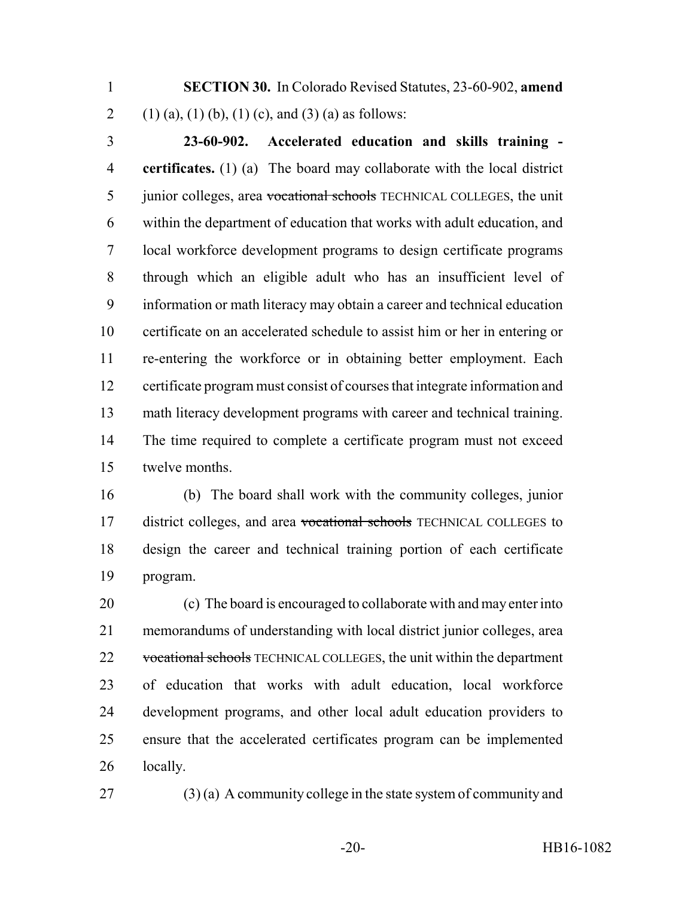**SECTION 30.** In Colorado Revised Statutes, 23-60-902, **amend** 2 (1) (a), (1) (b), (1) (c), and (3) (a) as follows:

 **23-60-902. Accelerated education and skills training - certificates.** (1) (a) The board may collaborate with the local district 5 junior colleges, area vocational schools TECHNICAL COLLEGES, the unit within the department of education that works with adult education, and local workforce development programs to design certificate programs through which an eligible adult who has an insufficient level of information or math literacy may obtain a career and technical education certificate on an accelerated schedule to assist him or her in entering or re-entering the workforce or in obtaining better employment. Each certificate program must consist of courses that integrate information and math literacy development programs with career and technical training. The time required to complete a certificate program must not exceed twelve months.

 (b) The board shall work with the community colleges, junior 17 district colleges, and area vocational schools TECHNICAL COLLEGES to design the career and technical training portion of each certificate program.

 (c) The board is encouraged to collaborate with and may enter into memorandums of understanding with local district junior colleges, area 22 vocational schools TECHNICAL COLLEGES, the unit within the department of education that works with adult education, local workforce development programs, and other local adult education providers to ensure that the accelerated certificates program can be implemented locally.

(3) (a) A community college in the state system of community and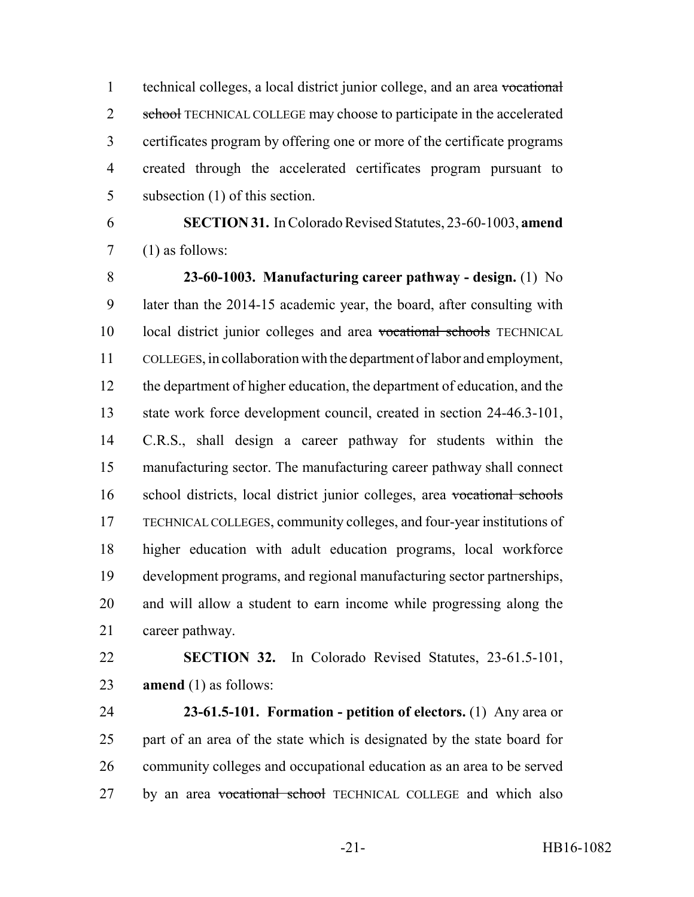technical colleges, a local district junior college, and an area vocational 2 school TECHNICAL COLLEGE may choose to participate in the accelerated certificates program by offering one or more of the certificate programs created through the accelerated certificates program pursuant to subsection (1) of this section.

 **SECTION 31.** In Colorado Revised Statutes, 23-60-1003, **amend** (1) as follows:

 **23-60-1003. Manufacturing career pathway - design.** (1) No later than the 2014-15 academic year, the board, after consulting with local district junior colleges and area vocational schools TECHNICAL COLLEGES, in collaboration with the department of labor and employment, the department of higher education, the department of education, and the state work force development council, created in section 24-46.3-101, C.R.S., shall design a career pathway for students within the manufacturing sector. The manufacturing career pathway shall connect school districts, local district junior colleges, area vocational schools TECHNICAL COLLEGES, community colleges, and four-year institutions of higher education with adult education programs, local workforce development programs, and regional manufacturing sector partnerships, and will allow a student to earn income while progressing along the career pathway.

 **SECTION 32.** In Colorado Revised Statutes, 23-61.5-101, **amend** (1) as follows:

 **23-61.5-101. Formation - petition of electors.** (1) Any area or part of an area of the state which is designated by the state board for community colleges and occupational education as an area to be served 27 by an area vocational school TECHNICAL COLLEGE and which also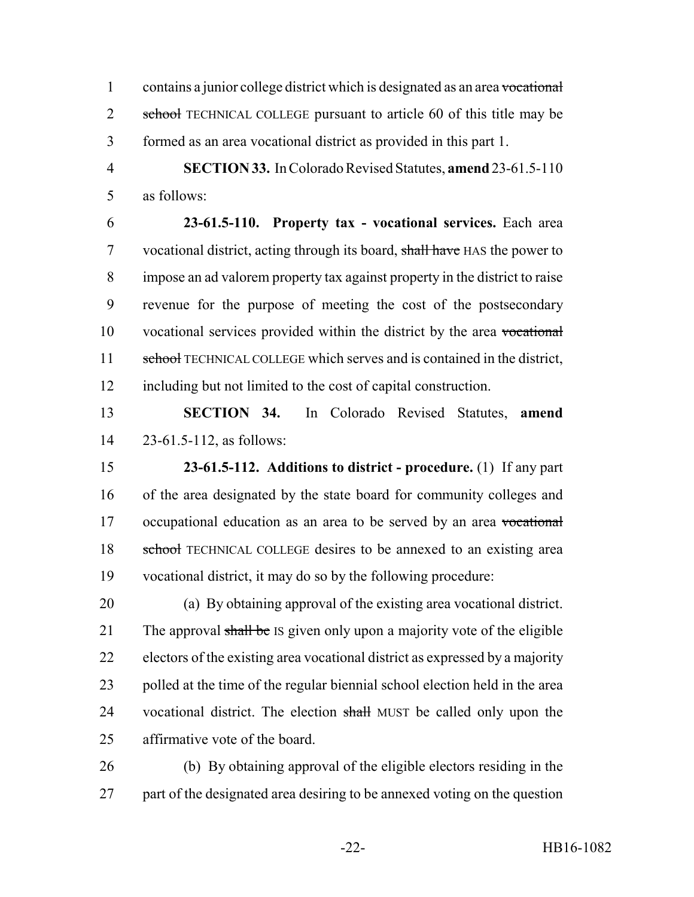1 contains a junior college district which is designated as an area vocational 2 school TECHNICAL COLLEGE pursuant to article 60 of this title may be formed as an area vocational district as provided in this part 1.

 **SECTION 33.** In Colorado Revised Statutes, **amend** 23-61.5-110 as follows:

 **23-61.5-110. Property tax - vocational services.** Each area 7 vocational district, acting through its board, shall have HAS the power to impose an ad valorem property tax against property in the district to raise revenue for the purpose of meeting the cost of the postsecondary vocational services provided within the district by the area vocational 11 school TECHNICAL COLLEGE which serves and is contained in the district, including but not limited to the cost of capital construction.

 **SECTION 34.** In Colorado Revised Statutes, **amend** 23-61.5-112, as follows:

 **23-61.5-112. Additions to district - procedure.** (1) If any part of the area designated by the state board for community colleges and 17 occupational education as an area to be served by an area vocational 18 school TECHNICAL COLLEGE desires to be annexed to an existing area vocational district, it may do so by the following procedure:

 (a) By obtaining approval of the existing area vocational district. 21 The approval shall be IS given only upon a majority vote of the eligible electors of the existing area vocational district as expressed by a majority polled at the time of the regular biennial school election held in the area 24 vocational district. The election shall MUST be called only upon the affirmative vote of the board.

 (b) By obtaining approval of the eligible electors residing in the 27 part of the designated area desiring to be annexed voting on the question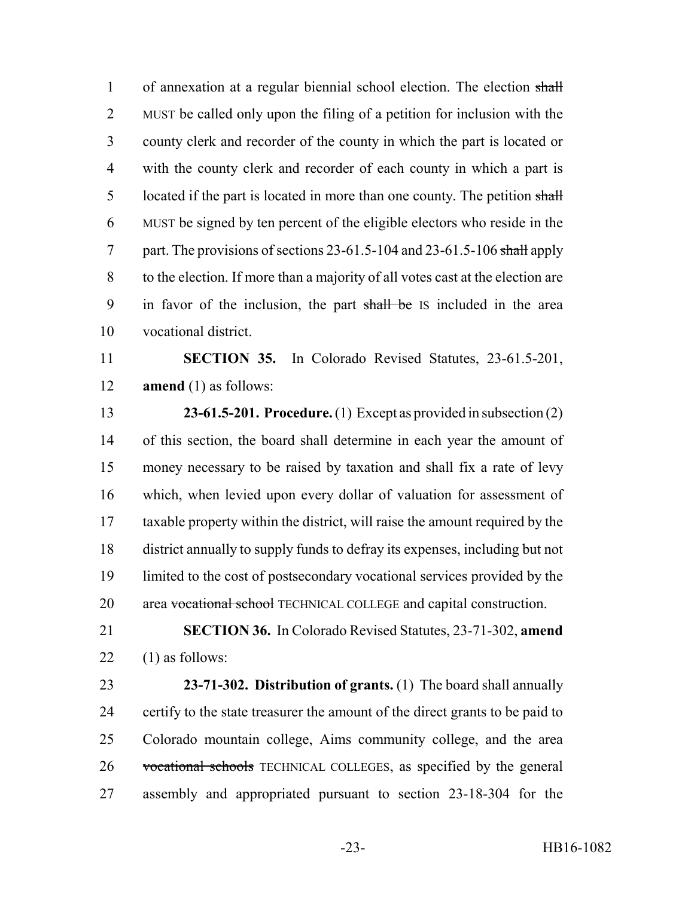1 of annexation at a regular biennial school election. The election shall MUST be called only upon the filing of a petition for inclusion with the county clerk and recorder of the county in which the part is located or with the county clerk and recorder of each county in which a part is 5 located if the part is located in more than one county. The petition shall MUST be signed by ten percent of the eligible electors who reside in the 7 part. The provisions of sections 23-61.5-104 and 23-61.5-106 shall apply to the election. If more than a majority of all votes cast at the election are in favor of the inclusion, the part shall be IS included in the area vocational district.

 **SECTION 35.** In Colorado Revised Statutes, 23-61.5-201, **amend** (1) as follows:

 **23-61.5-201. Procedure.** (1) Except as provided in subsection (2) of this section, the board shall determine in each year the amount of money necessary to be raised by taxation and shall fix a rate of levy which, when levied upon every dollar of valuation for assessment of taxable property within the district, will raise the amount required by the district annually to supply funds to defray its expenses, including but not limited to the cost of postsecondary vocational services provided by the 20 area vocational school TECHNICAL COLLEGE and capital construction.

 **SECTION 36.** In Colorado Revised Statutes, 23-71-302, **amend** 22  $(1)$  as follows:

 **23-71-302. Distribution of grants.** (1) The board shall annually certify to the state treasurer the amount of the direct grants to be paid to Colorado mountain college, Aims community college, and the area vocational schools TECHNICAL COLLEGES, as specified by the general assembly and appropriated pursuant to section 23-18-304 for the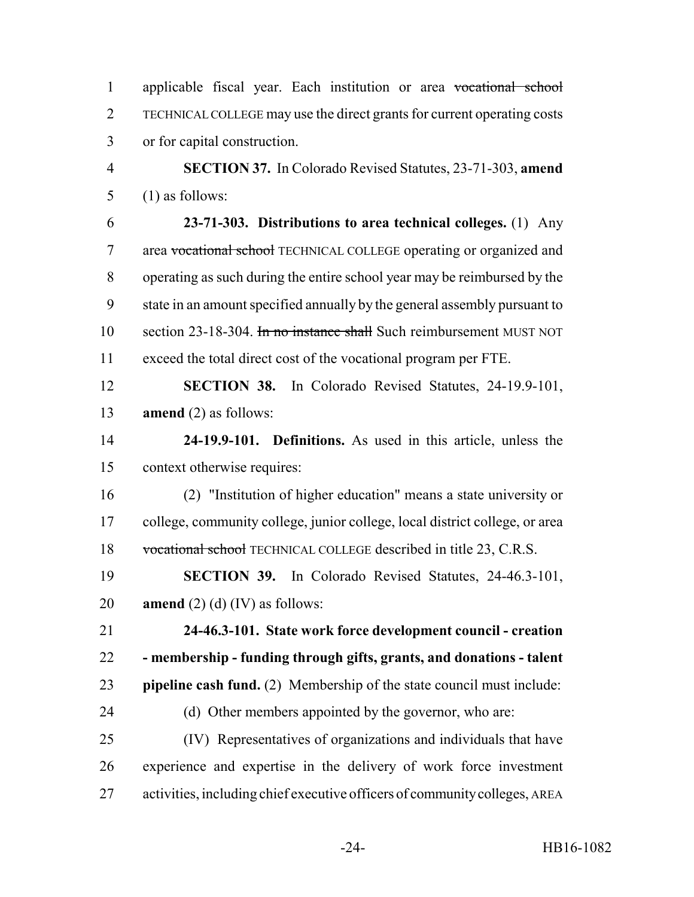applicable fiscal year. Each institution or area vocational school TECHNICAL COLLEGE may use the direct grants for current operating costs or for capital construction.

 **SECTION 37.** In Colorado Revised Statutes, 23-71-303, **amend** (1) as follows:

 **23-71-303. Distributions to area technical colleges.** (1) Any area vocational school TECHNICAL COLLEGE operating or organized and operating as such during the entire school year may be reimbursed by the state in an amount specified annually by the general assembly pursuant to 10 section 23-18-304. In no instance shall Such reimbursement MUST NOT exceed the total direct cost of the vocational program per FTE.

 **SECTION 38.** In Colorado Revised Statutes, 24-19.9-101, **amend** (2) as follows:

 **24-19.9-101. Definitions.** As used in this article, unless the context otherwise requires:

 (2) "Institution of higher education" means a state university or college, community college, junior college, local district college, or area vocational school TECHNICAL COLLEGE described in title 23, C.R.S.

 **SECTION 39.** In Colorado Revised Statutes, 24-46.3-101, **amend** (2) (d) (IV) as follows:

 **24-46.3-101. State work force development council - creation - membership - funding through gifts, grants, and donations - talent pipeline cash fund.** (2) Membership of the state council must include: 24 (d) Other members appointed by the governor, who are:

 (IV) Representatives of organizations and individuals that have experience and expertise in the delivery of work force investment activities, including chief executive officers of community colleges, AREA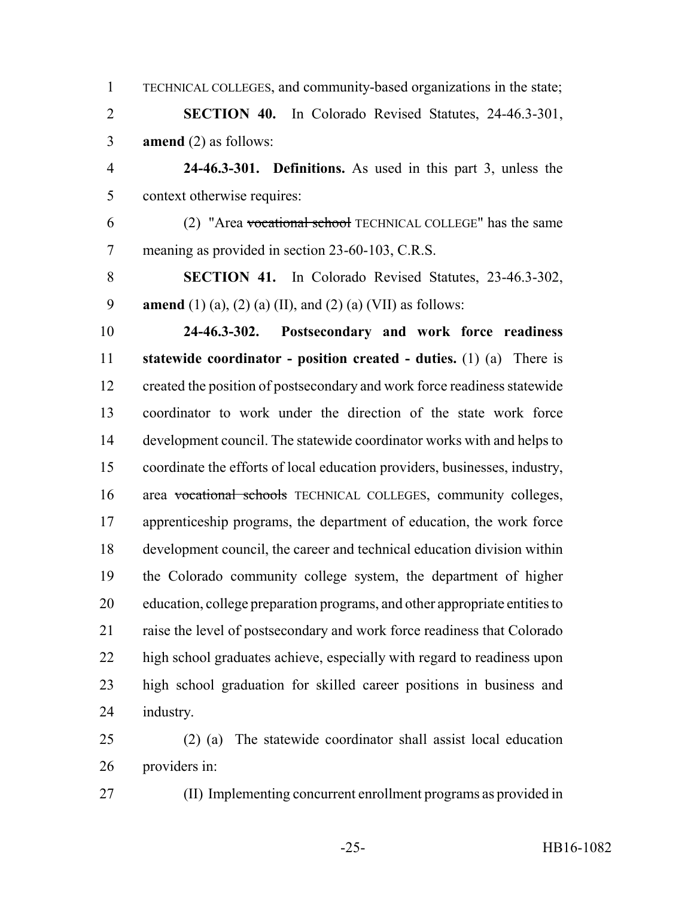TECHNICAL COLLEGES, and community-based organizations in the state; **SECTION 40.** In Colorado Revised Statutes, 24-46.3-301, **amend** (2) as follows: **24-46.3-301. Definitions.** As used in this part 3, unless the context otherwise requires: (2) "Area vocational school TECHNICAL COLLEGE" has the same meaning as provided in section 23-60-103, C.R.S. **SECTION 41.** In Colorado Revised Statutes, 23-46.3-302, **amend** (1) (a), (2) (a) (II), and (2) (a) (VII) as follows: **24-46.3-302. Postsecondary and work force readiness statewide coordinator - position created - duties.** (1) (a) There is created the position of postsecondary and work force readiness statewide coordinator to work under the direction of the state work force development council. The statewide coordinator works with and helps to coordinate the efforts of local education providers, businesses, industry, area vocational schools TECHNICAL COLLEGES, community colleges, apprenticeship programs, the department of education, the work force development council, the career and technical education division within the Colorado community college system, the department of higher education, college preparation programs, and other appropriate entities to raise the level of postsecondary and work force readiness that Colorado high school graduates achieve, especially with regard to readiness upon high school graduation for skilled career positions in business and industry. (2) (a) The statewide coordinator shall assist local education providers in:

(II) Implementing concurrent enrollment programs as provided in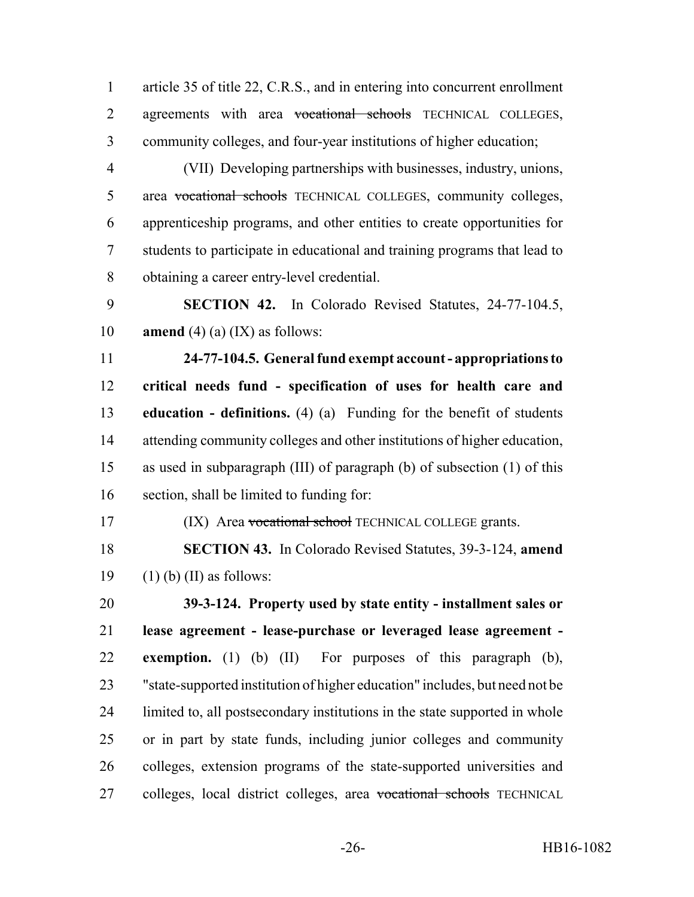article 35 of title 22, C.R.S., and in entering into concurrent enrollment 2 agreements with area vocational schools TECHNICAL COLLEGES, community colleges, and four-year institutions of higher education;

 (VII) Developing partnerships with businesses, industry, unions, 5 area vocational schools TECHNICAL COLLEGES, community colleges, apprenticeship programs, and other entities to create opportunities for students to participate in educational and training programs that lead to obtaining a career entry-level credential.

 **SECTION 42.** In Colorado Revised Statutes, 24-77-104.5, **amend** (4) (a) (IX) as follows:

 **24-77-104.5. General fund exempt account - appropriations to critical needs fund - specification of uses for health care and education - definitions.** (4) (a) Funding for the benefit of students attending community colleges and other institutions of higher education, as used in subparagraph (III) of paragraph (b) of subsection (1) of this section, shall be limited to funding for:

17 (IX) Area vocational school TECHNICAL COLLEGE grants.

 **SECTION 43.** In Colorado Revised Statutes, 39-3-124, **amend** 19  $(1)$  (b) (II) as follows:

 **39-3-124. Property used by state entity - installment sales or lease agreement - lease-purchase or leveraged lease agreement - exemption.** (1) (b) (II) For purposes of this paragraph (b), "state-supported institution of higher education" includes, but need not be limited to, all postsecondary institutions in the state supported in whole or in part by state funds, including junior colleges and community colleges, extension programs of the state-supported universities and 27 colleges, local district colleges, area vocational schools TECHNICAL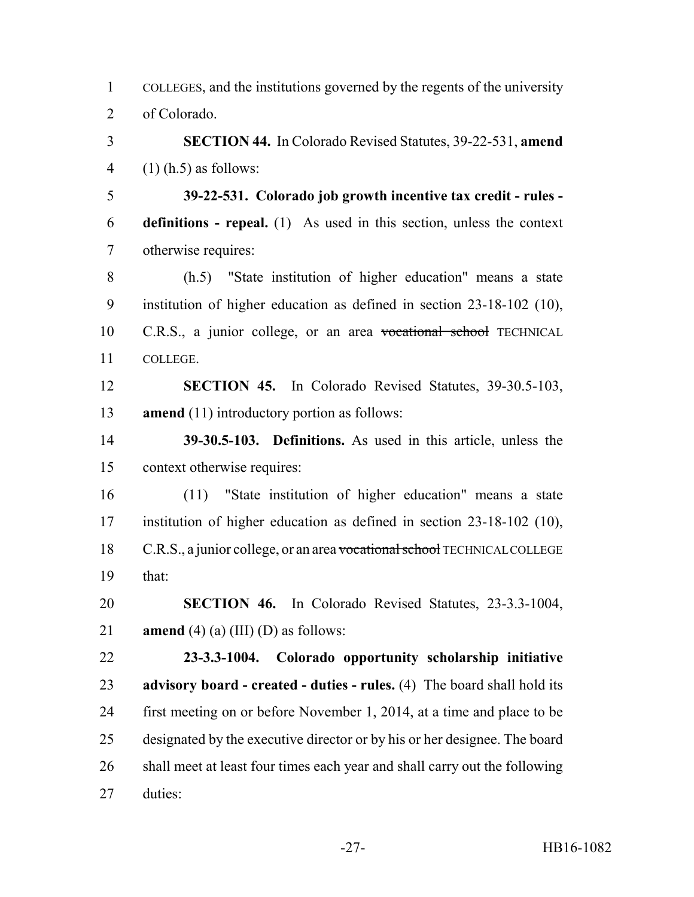COLLEGES, and the institutions governed by the regents of the university of Colorado.

 **SECTION 44.** In Colorado Revised Statutes, 39-22-531, **amend** 4  $(1)$  (h.5) as follows:

 **39-22-531. Colorado job growth incentive tax credit - rules - definitions - repeal.** (1) As used in this section, unless the context otherwise requires:

 (h.5) "State institution of higher education" means a state institution of higher education as defined in section 23-18-102 (10), C.R.S., a junior college, or an area vocational school TECHNICAL COLLEGE.

 **SECTION 45.** In Colorado Revised Statutes, 39-30.5-103, **amend** (11) introductory portion as follows:

 **39-30.5-103. Definitions.** As used in this article, unless the context otherwise requires:

 (11) "State institution of higher education" means a state institution of higher education as defined in section 23-18-102 (10), 18 C.R.S., a junior college, or an area vocational school TECHNICAL COLLEGE that:

 **SECTION 46.** In Colorado Revised Statutes, 23-3.3-1004, **amend** (4) (a) (III) (D) as follows:

 **23-3.3-1004. Colorado opportunity scholarship initiative advisory board - created - duties - rules.** (4) The board shall hold its first meeting on or before November 1, 2014, at a time and place to be designated by the executive director or by his or her designee. The board shall meet at least four times each year and shall carry out the following duties: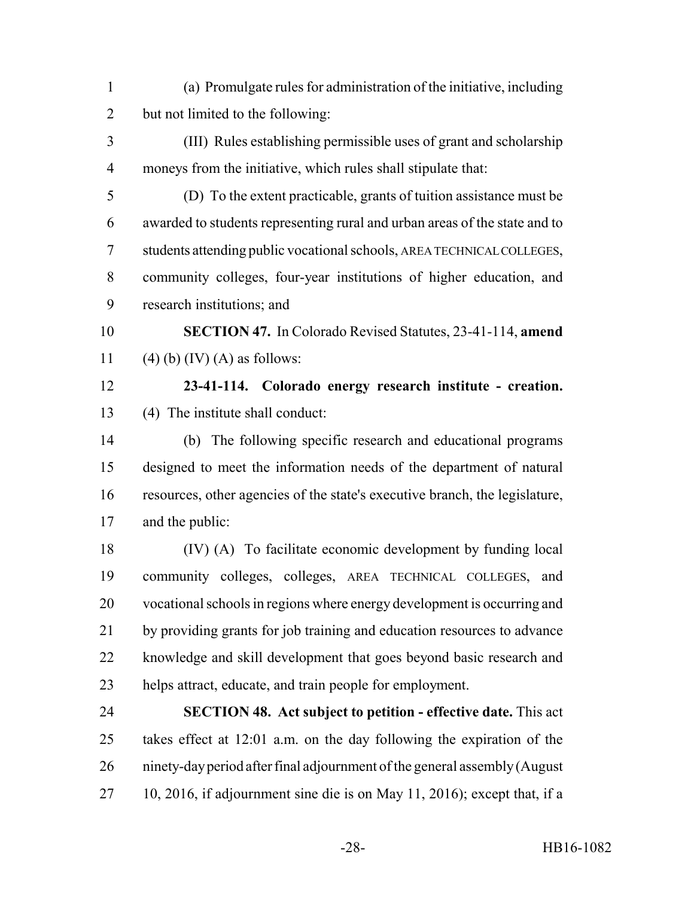- (a) Promulgate rules for administration of the initiative, including but not limited to the following:
- (III) Rules establishing permissible uses of grant and scholarship moneys from the initiative, which rules shall stipulate that:
- (D) To the extent practicable, grants of tuition assistance must be awarded to students representing rural and urban areas of the state and to students attending public vocational schools, AREA TECHNICAL COLLEGES, community colleges, four-year institutions of higher education, and research institutions; and
- **SECTION 47.** In Colorado Revised Statutes, 23-41-114, **amend** 11 (4) (b) (IV) (A) as follows:
- 

## **23-41-114. Colorado energy research institute - creation.** (4) The institute shall conduct:

- (b) The following specific research and educational programs designed to meet the information needs of the department of natural resources, other agencies of the state's executive branch, the legislature, and the public:
- (IV) (A) To facilitate economic development by funding local community colleges, colleges, AREA TECHNICAL COLLEGES, and vocational schools in regions where energy development is occurring and by providing grants for job training and education resources to advance knowledge and skill development that goes beyond basic research and helps attract, educate, and train people for employment.
- **SECTION 48. Act subject to petition effective date.** This act takes effect at 12:01 a.m. on the day following the expiration of the ninety-day period after final adjournment of the general assembly (August 10, 2016, if adjournment sine die is on May 11, 2016); except that, if a